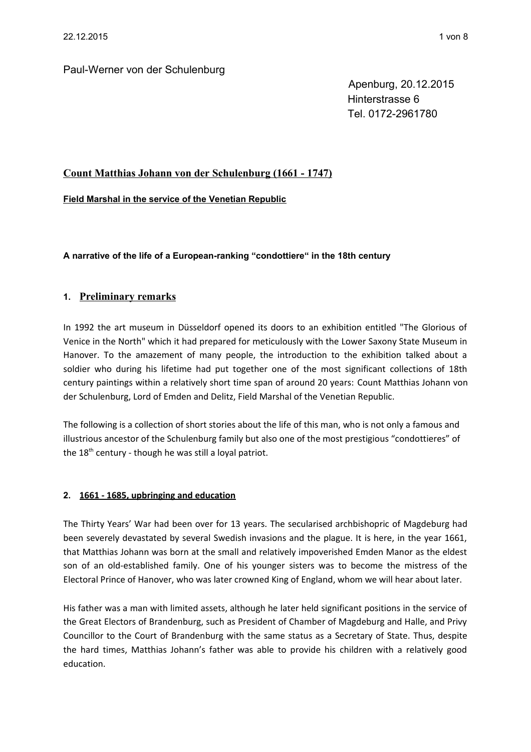Apenburg, 20.12.2015 Hinterstrasse 6 Tel. 0172-2961780

# **Count Matthias Johann von der Schulenburg (1661 - 1747)**

**Field Marshal in the service of the Venetian Republic**

**A narrative of the life of a European-ranking "condottiere" in the 18th century**

# **1. Preliminary remarks**

In 1992 the art museum in Düsseldorf opened its doors to an exhibition entitled "The Glorious of Venice in the North" which it had prepared for meticulously with the Lower Saxony State Museum in Hanover. To the amazement of many people, the introduction to the exhibition talked about a soldier who during his lifetime had put together one of the most significant collections of 18th century paintings within a relatively short time span of around 20 years: Count Matthias Johann von der Schulenburg, Lord of Emden and Delitz, Field Marshal of the Venetian Republic.

The following is a collection of short stories about the life of this man, who is not only a famous and illustrious ancestor of the Schulenburg family but also one of the most prestigious "condottieres" of the  $18<sup>th</sup>$  century - though he was still a loyal patriot.

### **2. 1661 - 1685, upbringing and education**

The Thirty Years' War had been over for 13 years. The secularised archbishopric of Magdeburg had been severely devastated by several Swedish invasions and the plague. It is here, in the year 1661, that Matthias Johann was born at the small and relatively impoverished Emden Manor as the eldest son of an old-established family. One of his younger sisters was to become the mistress of the Electoral Prince of Hanover, who was later crowned King of England, whom we will hear about later.

His father was a man with limited assets, although he later held significant positions in the service of the Great Electors of Brandenburg, such as President of Chamber of Magdeburg and Halle, and Privy Councillor to the Court of Brandenburg with the same status as a Secretary of State. Thus, despite the hard times, Matthias Johann's father was able to provide his children with a relatively good education.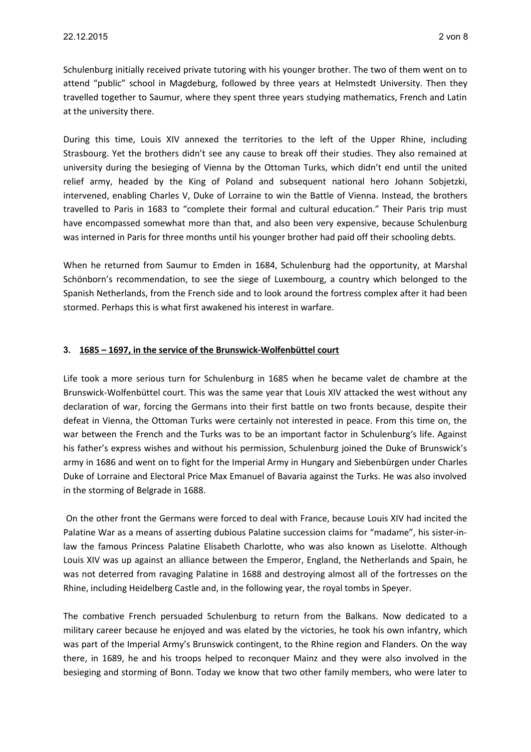Schulenburg initially received private tutoring with his younger brother. The two of them went on to attend "public" school in Magdeburg, followed by three years at Helmstedt University. Then they travelled together to Saumur, where they spent three years studying mathematics, French and Latin at the university there.

During this time, Louis XIV annexed the territories to the left of the Upper Rhine, including Strasbourg. Yet the brothers didn't see any cause to break off their studies. They also remained at university during the besieging of Vienna by the Ottoman Turks, which didn't end until the united relief army, headed by the King of Poland and subsequent national hero Johann Sobjetzki, intervened, enabling Charles V, Duke of Lorraine to win the Battle of Vienna. Instead, the brothers travelled to Paris in 1683 to "complete their formal and cultural education." Their Paris trip must have encompassed somewhat more than that, and also been very expensive, because Schulenburg was interned in Paris for three months until his younger brother had paid off their schooling debts.

When he returned from Saumur to Emden in 1684, Schulenburg had the opportunity, at Marshal Schönborn's recommendation, to see the siege of Luxembourg, a country which belonged to the Spanish Netherlands, from the French side and to look around the fortress complex after it had been stormed. Perhaps this is what first awakened his interest in warfare.

## **3. 1685 – 1697, in the service of the Brunswick-Wolfenbüttel court**

Life took a more serious turn for Schulenburg in 1685 when he became valet de chambre at the Brunswick-Wolfenbüttel court. This was the same year that Louis XIV attacked the west without any declaration of war, forcing the Germans into their first battle on two fronts because, despite their defeat in Vienna, the Ottoman Turks were certainly not interested in peace. From this time on, the war between the French and the Turks was to be an important factor in Schulenburg's life. Against his father's express wishes and without his permission, Schulenburg joined the Duke of Brunswick's army in 1686 and went on to fight for the Imperial Army in Hungary and Siebenbürgen under Charles Duke of Lorraine and Electoral Price Max Emanuel of Bavaria against the Turks. He was also involved in the storming of Belgrade in 1688.

 On the other front the Germans were forced to deal with France, because Louis XIV had incited the Palatine War as a means of asserting dubious Palatine succession claims for "madame", his sister-inlaw the famous Princess Palatine Elisabeth Charlotte, who was also known as Liselotte. Although Louis XIV was up against an alliance between the Emperor, England, the Netherlands and Spain, he was not deterred from ravaging Palatine in 1688 and destroying almost all of the fortresses on the Rhine, including Heidelberg Castle and, in the following year, the royal tombs in Speyer.

The combative French persuaded Schulenburg to return from the Balkans. Now dedicated to a military career because he enjoyed and was elated by the victories, he took his own infantry, which was part of the Imperial Army's Brunswick contingent, to the Rhine region and Flanders. On the way there, in 1689, he and his troops helped to reconquer Mainz and they were also involved in the besieging and storming of Bonn. Today we know that two other family members, who were later to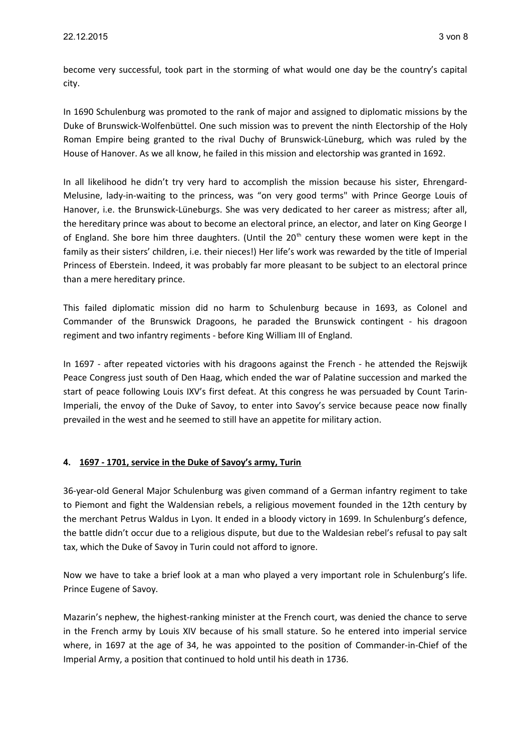become very successful, took part in the storming of what would one day be the country's capital city.

In 1690 Schulenburg was promoted to the rank of major and assigned to diplomatic missions by the Duke of Brunswick-Wolfenbüttel. One such mission was to prevent the ninth Electorship of the Holy Roman Empire being granted to the rival Duchy of Brunswick-Lüneburg, which was ruled by the House of Hanover. As we all know, he failed in this mission and electorship was granted in 1692.

In all likelihood he didn't try very hard to accomplish the mission because his sister, Ehrengard-Melusine, lady-in-waiting to the princess, was "on very good terms" with Prince George Louis of Hanover, i.e. the Brunswick-Lüneburgs. She was very dedicated to her career as mistress; after all, the hereditary prince was about to become an electoral prince, an elector, and later on King George I of England. She bore him three daughters. (Until the 20<sup>th</sup> century these women were kept in the family as their sisters' children, i.e. their nieces!) Her life's work was rewarded by the title of Imperial Princess of Eberstein. Indeed, it was probably far more pleasant to be subject to an electoral prince than a mere hereditary prince.

This failed diplomatic mission did no harm to Schulenburg because in 1693, as Colonel and Commander of the Brunswick Dragoons, he paraded the Brunswick contingent - his dragoon regiment and two infantry regiments - before King William III of England.

In 1697 - after repeated victories with his dragoons against the French - he attended the Rejswijk Peace Congress just south of Den Haag, which ended the war of Palatine succession and marked the start of peace following Louis IXV's first defeat. At this congress he was persuaded by Count Tarin-Imperiali, the envoy of the Duke of Savoy, to enter into Savoy's service because peace now finally prevailed in the west and he seemed to still have an appetite for military action.

# **4. 1697 - 1701, service in the Duke of Savoy's army, Turin**

36-year-old General Major Schulenburg was given command of a German infantry regiment to take to Piemont and fight the Waldensian rebels, a religious movement founded in the 12th century by the merchant Petrus Waldus in Lyon. It ended in a bloody victory in 1699. In Schulenburg's defence, the battle didn't occur due to a religious dispute, but due to the Waldesian rebel's refusal to pay salt tax, which the Duke of Savoy in Turin could not afford to ignore.

Now we have to take a brief look at a man who played a very important role in Schulenburg's life. Prince Eugene of Savoy.

Mazarin's nephew, the highest-ranking minister at the French court, was denied the chance to serve in the French army by Louis XIV because of his small stature. So he entered into imperial service where, in 1697 at the age of 34, he was appointed to the position of Commander-in-Chief of the Imperial Army, a position that continued to hold until his death in 1736.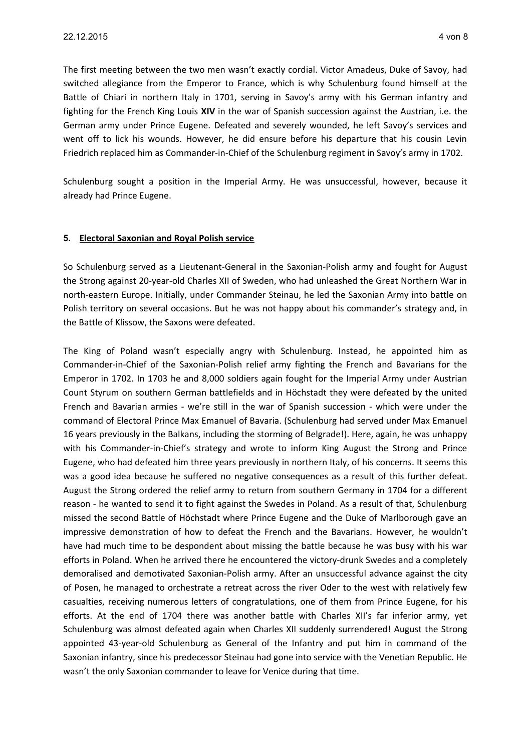The first meeting between the two men wasn't exactly cordial. Victor Amadeus, Duke of Savoy, had switched allegiance from the Emperor to France, which is why Schulenburg found himself at the Battle of Chiari in northern Italy in 1701, serving in Savoy's army with his German infantry and fighting for the French King Louis **XIV** in the war of Spanish succession against the Austrian, i.e. the German army under Prince Eugene. Defeated and severely wounded, he left Savoy's services and went off to lick his wounds. However, he did ensure before his departure that his cousin Levin Friedrich replaced him as Commander-in-Chief of the Schulenburg regiment in Savoy's army in 1702.

Schulenburg sought a position in the Imperial Army. He was unsuccessful, however, because it already had Prince Eugene.

## **5. Electoral Saxonian and Royal Polish service**

So Schulenburg served as a Lieutenant-General in the Saxonian-Polish army and fought for August the Strong against 20-year-old Charles XII of Sweden, who had unleashed the Great Northern War in north-eastern Europe. Initially, under Commander Steinau, he led the Saxonian Army into battle on Polish territory on several occasions. But he was not happy about his commander's strategy and, in the Battle of Klissow, the Saxons were defeated.

The King of Poland wasn't especially angry with Schulenburg. Instead, he appointed him as Commander-in-Chief of the Saxonian-Polish relief army fighting the French and Bavarians for the Emperor in 1702. In 1703 he and 8,000 soldiers again fought for the Imperial Army under Austrian Count Styrum on southern German battlefields and in Höchstadt they were defeated by the united French and Bavarian armies - we're still in the war of Spanish succession - which were under the command of Electoral Prince Max Emanuel of Bavaria. (Schulenburg had served under Max Emanuel 16 years previously in the Balkans, including the storming of Belgrade!). Here, again, he was unhappy with his Commander-in-Chief's strategy and wrote to inform King August the Strong and Prince Eugene, who had defeated him three years previously in northern Italy, of his concerns. It seems this was a good idea because he suffered no negative consequences as a result of this further defeat. August the Strong ordered the relief army to return from southern Germany in 1704 for a different reason - he wanted to send it to fight against the Swedes in Poland. As a result of that, Schulenburg missed the second Battle of Höchstadt where Prince Eugene and the Duke of Marlborough gave an impressive demonstration of how to defeat the French and the Bavarians. However, he wouldn't have had much time to be despondent about missing the battle because he was busy with his war efforts in Poland. When he arrived there he encountered the victory-drunk Swedes and a completely demoralised and demotivated Saxonian-Polish army. After an unsuccessful advance against the city of Posen, he managed to orchestrate a retreat across the river Oder to the west with relatively few casualties, receiving numerous letters of congratulations, one of them from Prince Eugene, for his efforts. At the end of 1704 there was another battle with Charles XII's far inferior army, yet Schulenburg was almost defeated again when Charles XII suddenly surrendered! August the Strong appointed 43-year-old Schulenburg as General of the Infantry and put him in command of the Saxonian infantry, since his predecessor Steinau had gone into service with the Venetian Republic. He wasn't the only Saxonian commander to leave for Venice during that time.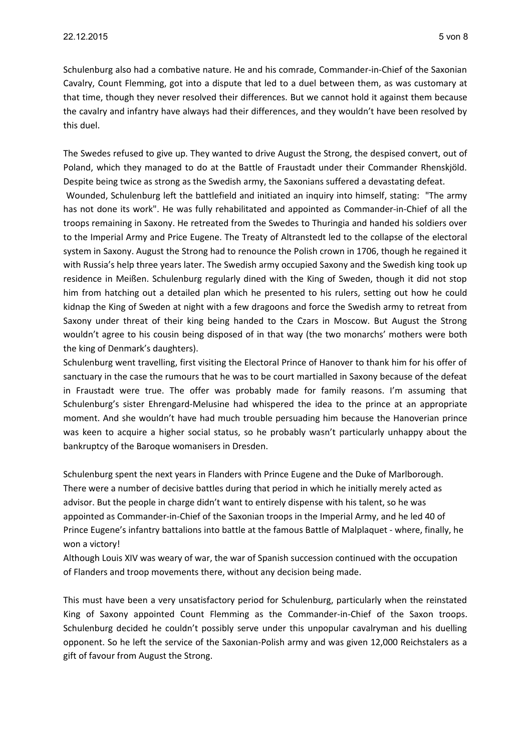Schulenburg also had a combative nature. He and his comrade, Commander-in-Chief of the Saxonian Cavalry, Count Flemming, got into a dispute that led to a duel between them, as was customary at that time, though they never resolved their differences. But we cannot hold it against them because the cavalry and infantry have always had their differences, and they wouldn't have been resolved by this duel.

The Swedes refused to give up. They wanted to drive August the Strong, the despised convert, out of Poland, which they managed to do at the Battle of Fraustadt under their Commander Rhenskjöld. Despite being twice as strong as the Swedish army, the Saxonians suffered a devastating defeat.

 Wounded, Schulenburg left the battlefield and initiated an inquiry into himself, stating: "The army has not done its work". He was fully rehabilitated and appointed as Commander-in-Chief of all the troops remaining in Saxony. He retreated from the Swedes to Thuringia and handed his soldiers over to the Imperial Army and Price Eugene. The Treaty of Altranstedt led to the collapse of the electoral system in Saxony. August the Strong had to renounce the Polish crown in 1706, though he regained it with Russia's help three years later. The Swedish army occupied Saxony and the Swedish king took up residence in Meißen. Schulenburg regularly dined with the King of Sweden, though it did not stop him from hatching out a detailed plan which he presented to his rulers, setting out how he could kidnap the King of Sweden at night with a few dragoons and force the Swedish army to retreat from Saxony under threat of their king being handed to the Czars in Moscow. But August the Strong wouldn't agree to his cousin being disposed of in that way (the two monarchs' mothers were both the king of Denmark's daughters).

Schulenburg went travelling, first visiting the Electoral Prince of Hanover to thank him for his offer of sanctuary in the case the rumours that he was to be court martialled in Saxony because of the defeat in Fraustadt were true. The offer was probably made for family reasons. I'm assuming that Schulenburg's sister Ehrengard-Melusine had whispered the idea to the prince at an appropriate moment. And she wouldn't have had much trouble persuading him because the Hanoverian prince was keen to acquire a higher social status, so he probably wasn't particularly unhappy about the bankruptcy of the Baroque womanisers in Dresden.

Schulenburg spent the next years in Flanders with Prince Eugene and the Duke of Marlborough. There were a number of decisive battles during that period in which he initially merely acted as advisor. But the people in charge didn't want to entirely dispense with his talent, so he was appointed as Commander-in-Chief of the Saxonian troops in the Imperial Army, and he led 40 of Prince Eugene's infantry battalions into battle at the famous Battle of Malplaquet - where, finally, he won a victory!

Although Louis XIV was weary of war, the war of Spanish succession continued with the occupation of Flanders and troop movements there, without any decision being made.

This must have been a very unsatisfactory period for Schulenburg, particularly when the reinstated King of Saxony appointed Count Flemming as the Commander-in-Chief of the Saxon troops. Schulenburg decided he couldn't possibly serve under this unpopular cavalryman and his duelling opponent. So he left the service of the Saxonian-Polish army and was given 12,000 Reichstalers as a gift of favour from August the Strong.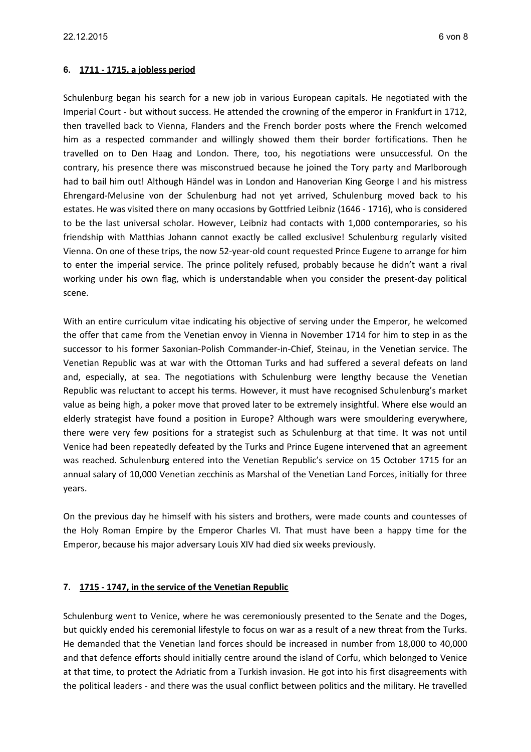### **6. 1711 - 1715, a jobless period**

Schulenburg began his search for a new job in various European capitals. He negotiated with the Imperial Court - but without success. He attended the crowning of the emperor in Frankfurt in 1712, then travelled back to Vienna, Flanders and the French border posts where the French welcomed him as a respected commander and willingly showed them their border fortifications. Then he travelled on to Den Haag and London. There, too, his negotiations were unsuccessful. On the contrary, his presence there was misconstrued because he joined the Tory party and Marlborough had to bail him out! Although Händel was in London and Hanoverian King George I and his mistress Ehrengard-Melusine von der Schulenburg had not yet arrived, Schulenburg moved back to his estates. He was visited there on many occasions by Gottfried Leibniz (1646 - 1716), who is considered to be the last universal scholar. However, Leibniz had contacts with 1,000 contemporaries, so his friendship with Matthias Johann cannot exactly be called exclusive! Schulenburg regularly visited Vienna. On one of these trips, the now 52-year-old count requested Prince Eugene to arrange for him to enter the imperial service. The prince politely refused, probably because he didn't want a rival working under his own flag, which is understandable when you consider the present-day political scene.

With an entire curriculum vitae indicating his objective of serving under the Emperor, he welcomed the offer that came from the Venetian envoy in Vienna in November 1714 for him to step in as the successor to his former Saxonian-Polish Commander-in-Chief, Steinau, in the Venetian service. The Venetian Republic was at war with the Ottoman Turks and had suffered a several defeats on land and, especially, at sea. The negotiations with Schulenburg were lengthy because the Venetian Republic was reluctant to accept his terms. However, it must have recognised Schulenburg's market value as being high, a poker move that proved later to be extremely insightful. Where else would an elderly strategist have found a position in Europe? Although wars were smouldering everywhere, there were very few positions for a strategist such as Schulenburg at that time. It was not until Venice had been repeatedly defeated by the Turks and Prince Eugene intervened that an agreement was reached. Schulenburg entered into the Venetian Republic's service on 15 October 1715 for an annual salary of 10,000 Venetian zecchinis as Marshal of the Venetian Land Forces, initially for three years.

On the previous day he himself with his sisters and brothers, were made counts and countesses of the Holy Roman Empire by the Emperor Charles VI. That must have been a happy time for the Emperor, because his major adversary Louis XIV had died six weeks previously.

#### **7. 1715 - 1747, in the service of the Venetian Republic**

Schulenburg went to Venice, where he was ceremoniously presented to the Senate and the Doges, but quickly ended his ceremonial lifestyle to focus on war as a result of a new threat from the Turks. He demanded that the Venetian land forces should be increased in number from 18,000 to 40,000 and that defence efforts should initially centre around the island of Corfu, which belonged to Venice at that time, to protect the Adriatic from a Turkish invasion. He got into his first disagreements with the political leaders - and there was the usual conflict between politics and the military. He travelled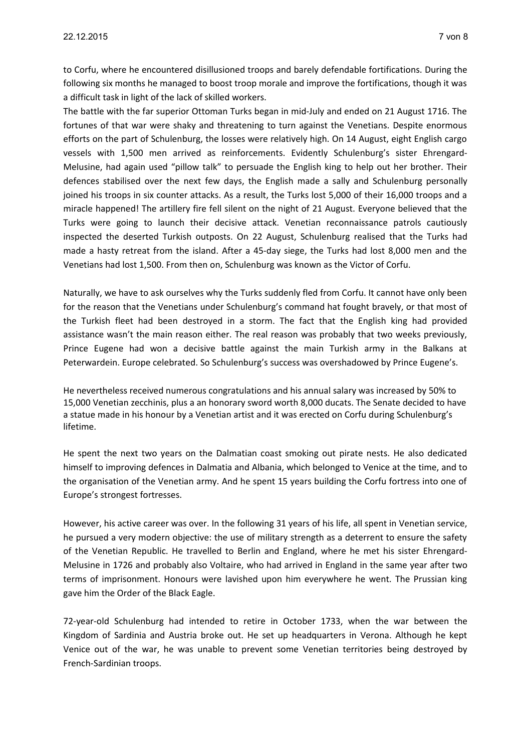to Corfu, where he encountered disillusioned troops and barely defendable fortifications. During the following six months he managed to boost troop morale and improve the fortifications, though it was a difficult task in light of the lack of skilled workers.

The battle with the far superior Ottoman Turks began in mid-July and ended on 21 August 1716. The fortunes of that war were shaky and threatening to turn against the Venetians. Despite enormous efforts on the part of Schulenburg, the losses were relatively high. On 14 August, eight English cargo vessels with 1,500 men arrived as reinforcements. Evidently Schulenburg's sister Ehrengard-Melusine, had again used "pillow talk" to persuade the English king to help out her brother. Their defences stabilised over the next few days, the English made a sally and Schulenburg personally joined his troops in six counter attacks. As a result, the Turks lost 5,000 of their 16,000 troops and a miracle happened! The artillery fire fell silent on the night of 21 August. Everyone believed that the Turks were going to launch their decisive attack. Venetian reconnaissance patrols cautiously inspected the deserted Turkish outposts. On 22 August, Schulenburg realised that the Turks had made a hasty retreat from the island. After a 45-day siege, the Turks had lost 8,000 men and the Venetians had lost 1,500. From then on, Schulenburg was known as the Victor of Corfu.

Naturally, we have to ask ourselves why the Turks suddenly fled from Corfu. It cannot have only been for the reason that the Venetians under Schulenburg's command hat fought bravely, or that most of the Turkish fleet had been destroyed in a storm. The fact that the English king had provided assistance wasn't the main reason either. The real reason was probably that two weeks previously, Prince Eugene had won a decisive battle against the main Turkish army in the Balkans at Peterwardein. Europe celebrated. So Schulenburg's success was overshadowed by Prince Eugene's.

He nevertheless received numerous congratulations and his annual salary was increased by 50% to 15,000 Venetian zecchinis, plus a an honorary sword worth 8,000 ducats. The Senate decided to have a statue made in his honour by a Venetian artist and it was erected on Corfu during Schulenburg's lifetime.

He spent the next two years on the Dalmatian coast smoking out pirate nests. He also dedicated himself to improving defences in Dalmatia and Albania, which belonged to Venice at the time, and to the organisation of the Venetian army. And he spent 15 years building the Corfu fortress into one of Europe's strongest fortresses.

However, his active career was over. In the following 31 years of his life, all spent in Venetian service, he pursued a very modern objective: the use of military strength as a deterrent to ensure the safety of the Venetian Republic. He travelled to Berlin and England, where he met his sister Ehrengard-Melusine in 1726 and probably also Voltaire, who had arrived in England in the same year after two terms of imprisonment. Honours were lavished upon him everywhere he went. The Prussian king gave him the Order of the Black Eagle.

72-year-old Schulenburg had intended to retire in October 1733, when the war between the Kingdom of Sardinia and Austria broke out. He set up headquarters in Verona. Although he kept Venice out of the war, he was unable to prevent some Venetian territories being destroyed by French-Sardinian troops.